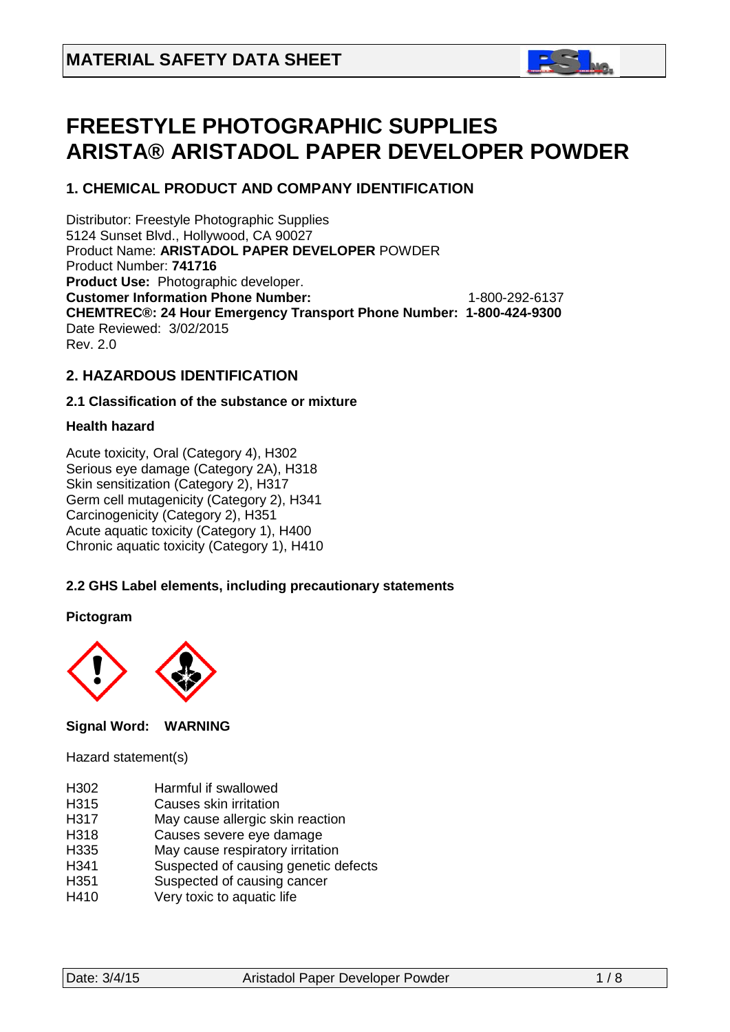

# **FREESTYLE PHOTOGRAPHIC SUPPLIES ARISTA® ARISTADOL PAPER DEVELOPER POWDER**

# **1. CHEMICAL PRODUCT AND COMPANY IDENTIFICATION**

Distributor: Freestyle Photographic Supplies 5124 Sunset Blvd., Hollywood, CA 90027 Product Name: **ARISTADOL PAPER DEVELOPER** POWDER Product Number: **741716 Product Use:** Photographic developer. **Customer Information Phone Number:** 1-800-292-6137 **CHEMTREC®: 24 Hour Emergency Transport Phone Number: 1-800-424-9300**  Date Reviewed: 3/02/2015 Rev. 2.0

## **2. HAZARDOUS IDENTIFICATION**

### **2.1 Classification of the substance or mixture**

### **Health hazard**

Acute toxicity, Oral (Category 4), H302 Serious eye damage (Category 2A), H318 Skin sensitization (Category 2), H317 Germ cell mutagenicity (Category 2), H341 Carcinogenicity (Category 2), H351 Acute aquatic toxicity (Category 1), H400 Chronic aquatic toxicity (Category 1), H410

### **2.2 GHS Label elements, including precautionary statements**

### **Pictogram**



### **Signal Word: WARNING**

### Hazard statement(s)

- H302 Harmful if swallowed
- H315 Causes skin irritation
- H317 May cause allergic skin reaction
- H318 Causes severe eye damage<br>H335 May cause respiratory irritation
- H335 May cause respiratory irritation<br>H341 Suspected of causing genetic d
- Suspected of causing genetic defects
- H351 Suspected of causing cancer
- H410 Very toxic to aquatic life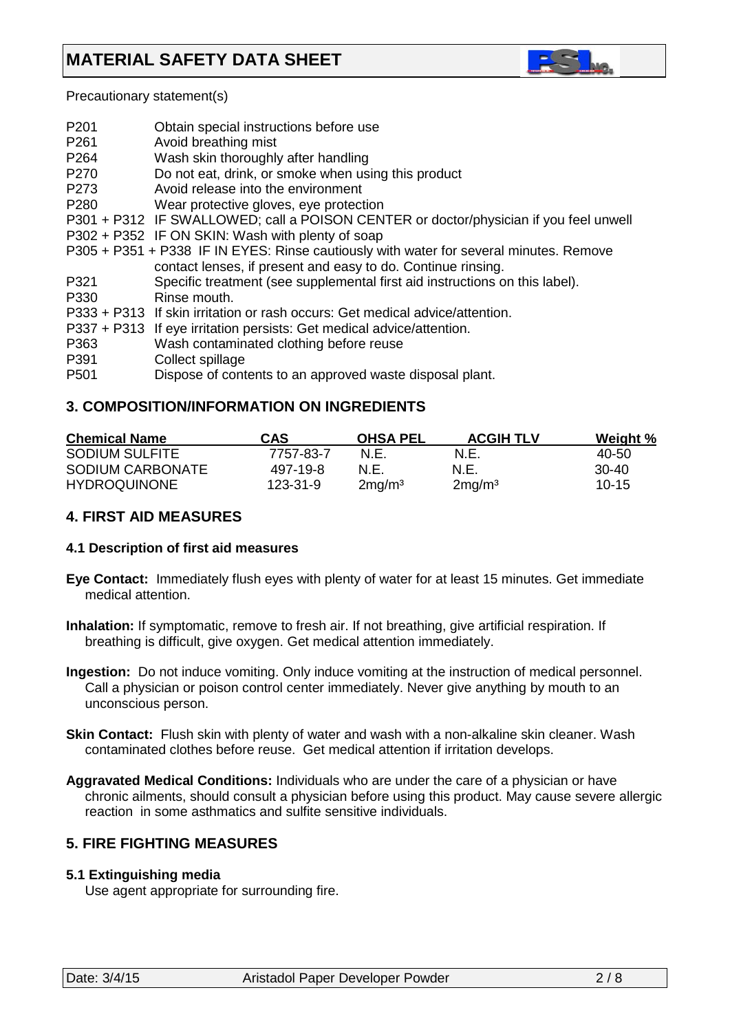

Precautionary statement(s)

| P <sub>201</sub><br>P <sub>261</sub> | Obtain special instructions before use<br>Avoid breathing mist                         |
|--------------------------------------|----------------------------------------------------------------------------------------|
| P <sub>264</sub>                     | Wash skin thoroughly after handling                                                    |
| P270                                 | Do not eat, drink, or smoke when using this product                                    |
| P273                                 | Avoid release into the environment                                                     |
| P <sub>280</sub>                     | Wear protective gloves, eye protection                                                 |
|                                      | P301 + P312 IF SWALLOWED; call a POISON CENTER or doctor/physician if you feel unwell  |
|                                      | P302 + P352 IF ON SKIN: Wash with plenty of soap                                       |
|                                      | P305 + P351 + P338 IF IN EYES: Rinse cautiously with water for several minutes. Remove |
|                                      | contact lenses, if present and easy to do. Continue rinsing.                           |
| P321                                 | Specific treatment (see supplemental first aid instructions on this label).            |
| P330                                 | Rinse mouth.                                                                           |
|                                      | P333 + P313 If skin irritation or rash occurs: Get medical advice/attention.           |
|                                      | P337 + P313 If eye irritation persists: Get medical advice/attention.                  |
| P363                                 | Wash contaminated clothing before reuse                                                |
| P391                                 | Collect spillage                                                                       |
| P <sub>501</sub>                     | Dispose of contents to an approved waste disposal plant.                               |

# **3. COMPOSITION/INFORMATION ON INGREDIENTS**

| <b>Chemical Name</b>  | <b>CAS</b> | <b>OHSA PEL</b>    | <b>ACGIH TLV</b>   | Weight %  |
|-----------------------|------------|--------------------|--------------------|-----------|
| <b>SODIUM SULFITE</b> | 7757-83-7  | N.E.               | N.E.               | 40-50     |
| SODIUM CARBONATE      | 497-19-8   | N.E.               | N.E.               | 30-40     |
| <b>HYDROQUINONE</b>   | 123-31-9   | 2mg/m <sup>3</sup> | 2mg/m <sup>3</sup> | $10 - 15$ |

# **4. FIRST AID MEASURES**

### **4.1 Description of first aid measures**

- **Eye Contact:** Immediately flush eyes with plenty of water for at least 15 minutes. Get immediate medical attention.
- **Inhalation:** If symptomatic, remove to fresh air. If not breathing, give artificial respiration. If breathing is difficult, give oxygen. Get medical attention immediately.
- **Ingestion:** Do not induce vomiting. Only induce vomiting at the instruction of medical personnel. Call a physician or poison control center immediately. Never give anything by mouth to an unconscious person.
- **Skin Contact:** Flush skin with plenty of water and wash with a non-alkaline skin cleaner. Wash contaminated clothes before reuse. Get medical attention if irritation develops.
- **Aggravated Medical Conditions:** Individuals who are under the care of a physician or have chronic ailments, should consult a physician before using this product. May cause severe allergic reaction in some asthmatics and sulfite sensitive individuals.

# **5. FIRE FIGHTING MEASURES**

### **5.1 Extinguishing media**

Use agent appropriate for surrounding fire.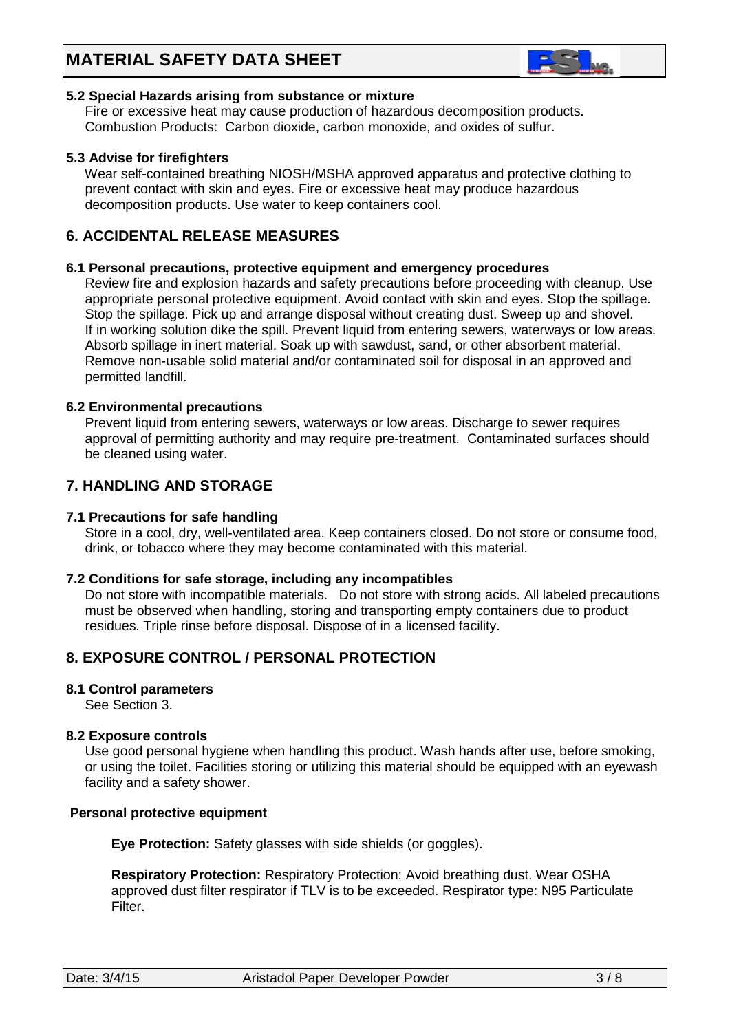# **MATERIAL SAFETY DATA SHEET**



### **5.2 Special Hazards arising from substance or mixture**

 Fire or excessive heat may cause production of hazardous decomposition products. Combustion Products: Carbon dioxide, carbon monoxide, and oxides of sulfur.

### **5.3 Advise for firefighters**

Wear self-contained breathing NIOSH/MSHA approved apparatus and protective clothing to prevent contact with skin and eyes. Fire or excessive heat may produce hazardous decomposition products. Use water to keep containers cool.

# **6. ACCIDENTAL RELEASE MEASURES**

### **6.1 Personal precautions, protective equipment and emergency procedures**

Review fire and explosion hazards and safety precautions before proceeding with cleanup. Use appropriate personal protective equipment. Avoid contact with skin and eyes. Stop the spillage. Stop the spillage. Pick up and arrange disposal without creating dust. Sweep up and shovel. If in working solution dike the spill. Prevent liquid from entering sewers, waterways or low areas. Absorb spillage in inert material. Soak up with sawdust, sand, or other absorbent material. Remove non-usable solid material and/or contaminated soil for disposal in an approved and permitted landfill.

### **6.2 Environmental precautions**

 Prevent liquid from entering sewers, waterways or low areas. Discharge to sewer requires approval of permitting authority and may require pre-treatment. Contaminated surfaces should be cleaned using water.

### **7. HANDLING AND STORAGE**

### **7.1 Precautions for safe handling**

 Store in a cool, dry, well-ventilated area. Keep containers closed. Do not store or consume food, drink, or tobacco where they may become contaminated with this material.

### **7.2 Conditions for safe storage, including any incompatibles**

Do not store with incompatible materials. Do not store with strong acids. All labeled precautions must be observed when handling, storing and transporting empty containers due to product residues. Triple rinse before disposal. Dispose of in a licensed facility.

# **8. EXPOSURE CONTROL / PERSONAL PROTECTION**

### **8.1 Control parameters**

See Section 3.

### **8.2 Exposure controls**

Use good personal hygiene when handling this product. Wash hands after use, before smoking, or using the toilet. Facilities storing or utilizing this material should be equipped with an eyewash facility and a safety shower.

### **Personal protective equipment**

**Eye Protection:** Safety glasses with side shields (or goggles).

 **Respiratory Protection:** Respiratory Protection: Avoid breathing dust. Wear OSHA approved dust filter respirator if TLV is to be exceeded. Respirator type: N95 Particulate Filter.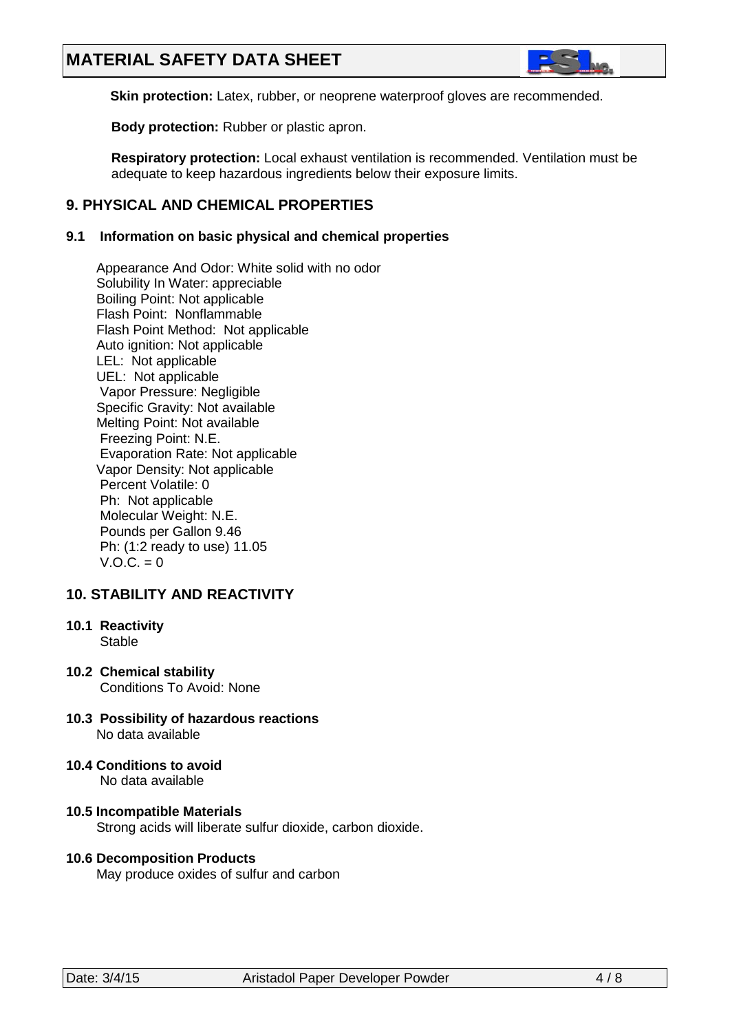# **MATERIAL SAFETY DATA SHEET**



**Skin protection:** Latex, rubber, or neoprene waterproof gloves are recommended.

 **Body protection:** Rubber or plastic apron.

 **Respiratory protection:** Local exhaust ventilation is recommended. Ventilation must be adequate to keep hazardous ingredients below their exposure limits.

# **9. PHYSICAL AND CHEMICAL PROPERTIES**

### **9.1 Information on basic physical and chemical properties**

Appearance And Odor: White solid with no odor Solubility In Water: appreciable Boiling Point: Not applicable Flash Point: Nonflammable Flash Point Method: Not applicable Auto ignition: Not applicable LEL: Not applicable UEL: Not applicable Vapor Pressure: Negligible Specific Gravity: Not available Melting Point: Not available Freezing Point: N.E. Evaporation Rate: Not applicable Vapor Density: Not applicable Percent Volatile: 0 Ph: Not applicable Molecular Weight: N.E. Pounds per Gallon 9.46 Ph: (1:2 ready to use) 11.05  $V.O.C. = 0$ 

# **10. STABILITY AND REACTIVITY**

- **10.1 Reactivity Stable**
- **10.2 Chemical stability** Conditions To Avoid: None
- **10.3 Possibility of hazardous reactions** No data available
- **10.4 Conditions to avoid** No data available
- **10.5 Incompatible Materials** Strong acids will liberate sulfur dioxide, carbon dioxide.

### **10.6 Decomposition Products**

May produce oxides of sulfur and carbon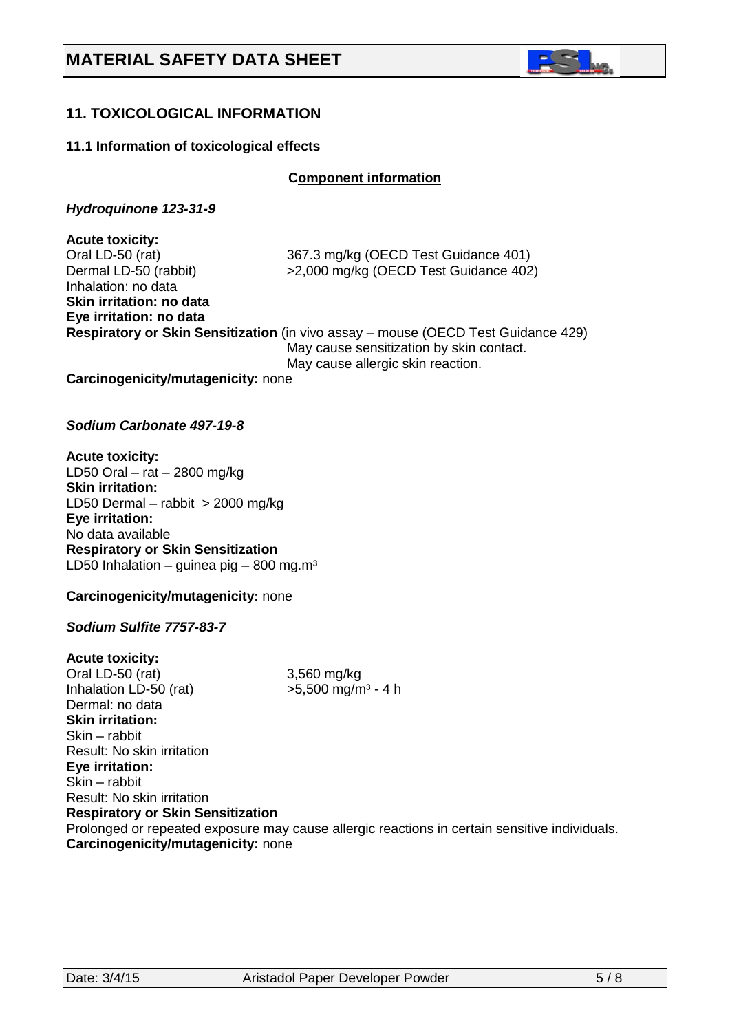

# **11. TOXICOLOGICAL INFORMATION**

### **11.1 Information of toxicological effects**

**C***C***omponent information**

*Hydroquinone 123-31-9*

**Acute toxicity:**<br>Oral LD-50 (rat) 367.3 mg/kg (OECD Test Guidance 401) Dermal LD-50 (rabbit) >2,000 mg/kg (OECD Test Guidance 402) Inhalation: no data **Skin irritation: no data Eye irritation: no data Respiratory or Skin Sensitization** (in vivo assay – mouse (OECD Test Guidance 429) May cause sensitization by skin contact. May cause allergic skin reaction.

**Carcinogenicity/mutagenicity:** none

### *Sodium Carbonate 497-19-8*

**Acute toxicity:** LD50 Oral – rat – 2800 mg/kg **Skin irritation:**  LD50 Dermal – rabbit > 2000 mg/kg **Eye irritation:**  No data available **Respiratory or Skin Sensitization** LD50 Inhalation – guinea pig – 800 mg.m<sup>3</sup>

**Carcinogenicity/mutagenicity:** none

### *Sodium Sulfite 7757-83-7*

**Acute toxicity:** Oral LD-50 (rat) 3,560 mg/kg<br>Inhalation LD-50 (rat) >5,500 mg/m<sup>3</sup> - 4 h Inhalation LD-50 (rat) Dermal: no data **Skin irritation:**  Skin – rabbit Result: No skin irritation **Eye irritation:**  Skin – rabbit Result: No skin irritation **Respiratory or Skin Sensitization** Prolonged or repeated exposure may cause allergic reactions in certain sensitive individuals. **Carcinogenicity/mutagenicity:** none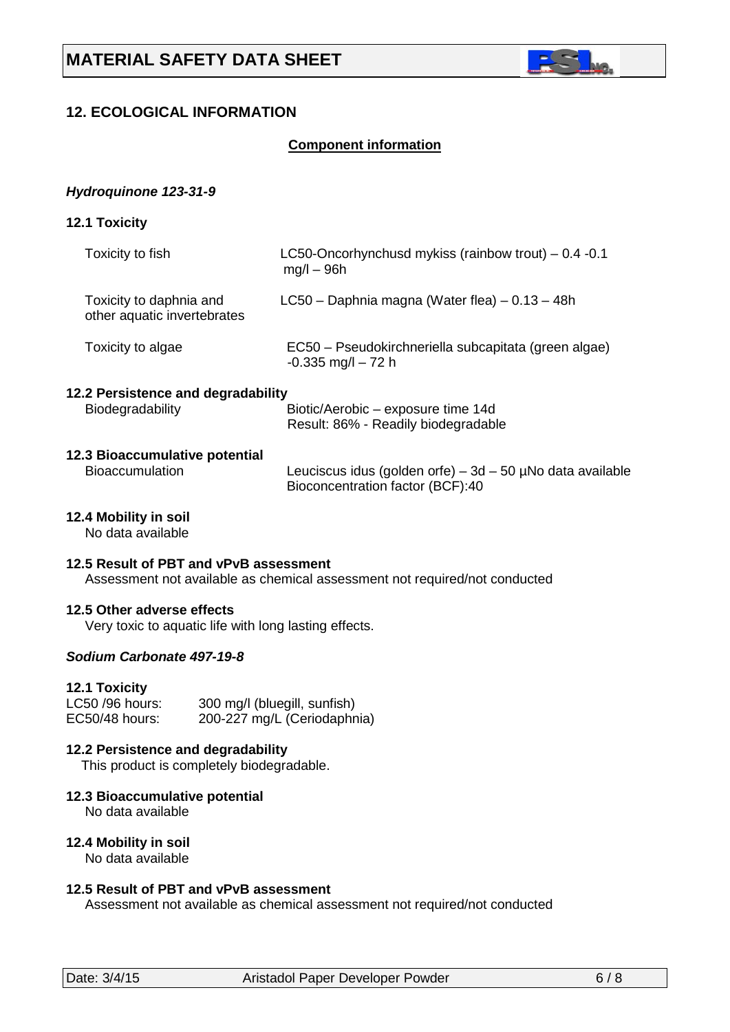

# **12. ECOLOGICAL INFORMATION**

### **Component information**

### *Hydroquinone 123-31-9*

**12.1 Toxicity** 

| Toxicity to fish                                       | LC50-Oncorhynchusd mykiss (rainbow trout) $-0.4$ -0.1<br>$mq/l - 96h$         |
|--------------------------------------------------------|-------------------------------------------------------------------------------|
| Toxicity to daphnia and<br>other aquatic invertebrates | $LC50 - Daphnia magna (Water flea) - 0.13 - 48h$                              |
| Toxicity to algae                                      | EC50 – Pseudokirchneriella subcapitata (green algae)<br>$-0.335$ mg/l $-72$ h |
| 12.2 Persistence and degradability<br>Biodegradability | Biotic/Aerobic – exposure time 14d<br>Result: 86% - Readily biodegradable     |

# **12.3 Bioaccumulative potential**

Leuciscus idus (golden orfe) –  $3d - 50$  µNo data available Bioconcentration factor (BCF):40

# **12.4 Mobility in soil**

No data available

### **12.5 Result of PBT and vPvB assessment**

Assessment not available as chemical assessment not required/not conducted

### **12.5 Other adverse effects**

Very toxic to aquatic life with long lasting effects.

### *Sodium Carbonate 497-19-8*

### **12.1 Toxicity**

| LC50 /96 hours: | 300 mg/l (bluegill, sunfish) |
|-----------------|------------------------------|
| EC50/48 hours:  | 200-227 mg/L (Ceriodaphnia)  |

### **12.2 Persistence and degradability**

This product is completely biodegradable.

### **12.3 Bioaccumulative potential**

No data available

### **12.4 Mobility in soil**

No data available

### **12.5 Result of PBT and vPvB assessment**

Assessment not available as chemical assessment not required/not conducted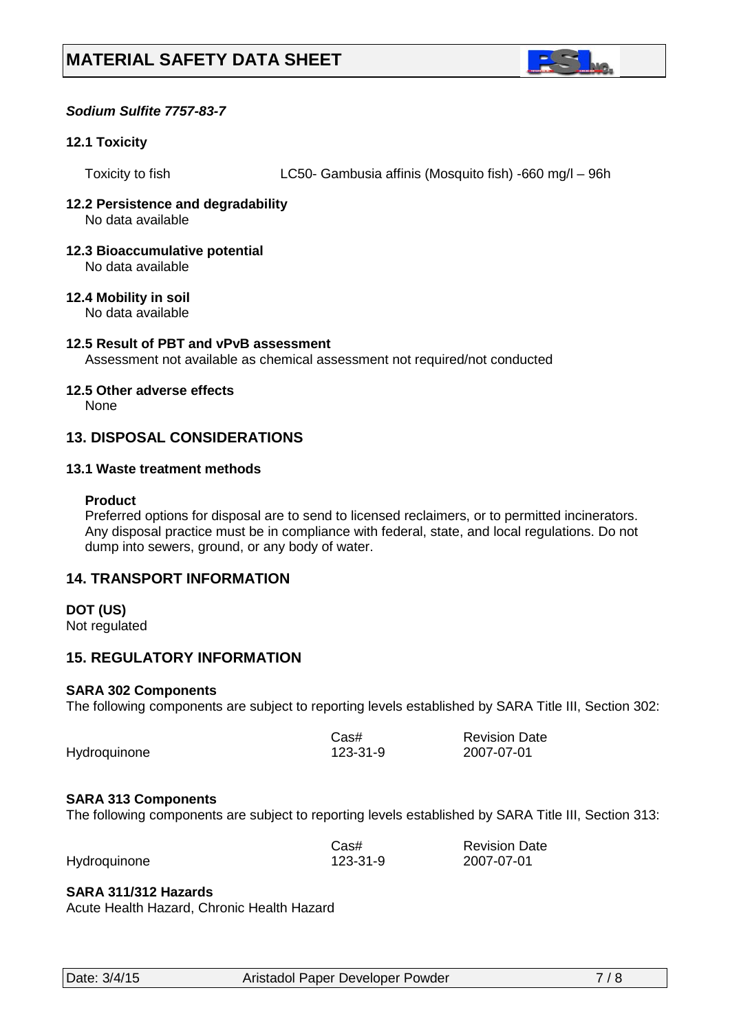

## *Sodium Sulfite 7757-83-7*

### **12.1 Toxicity**

Toxicity to fish LC50- Gambusia affinis (Mosquito fish) -660 mg/l – 96h

#### **12.2 Persistence and degradability** No data available

#### **12.3 Bioaccumulative potential** No data available

# **12.4 Mobility in soil**

No data available

# **12.5 Result of PBT and vPvB assessment**

Assessment not available as chemical assessment not required/not conducted

### **12.5 Other adverse effects**

None

## **13. DISPOSAL CONSIDERATIONS**

### **13.1 Waste treatment methods**

### **Product**

Preferred options for disposal are to send to licensed reclaimers, or to permitted incinerators. Any disposal practice must be in compliance with federal, state, and local regulations. Do not dump into sewers, ground, or any body of water.

# **14. TRANSPORT INFORMATION**

### **DOT (US)**

Not regulated

# **15. REGULATORY INFORMATION**

### **SARA 302 Components**

The following components are subject to reporting levels established by SARA Title III, Section 302:

|              | Cas#     | <b>Revision Date</b> |
|--------------|----------|----------------------|
| Hydroquinone | 123-31-9 | 2007-07-01           |

### **SARA 313 Components**

The following components are subject to reporting levels established by SARA Title III, Section 313:

|              | Cas#     | <b>Revision Date</b> |
|--------------|----------|----------------------|
| Hydroquinone | 123-31-9 | 2007-07-01           |

### **SARA 311/312 Hazards**

Acute Health Hazard, Chronic Health Hazard